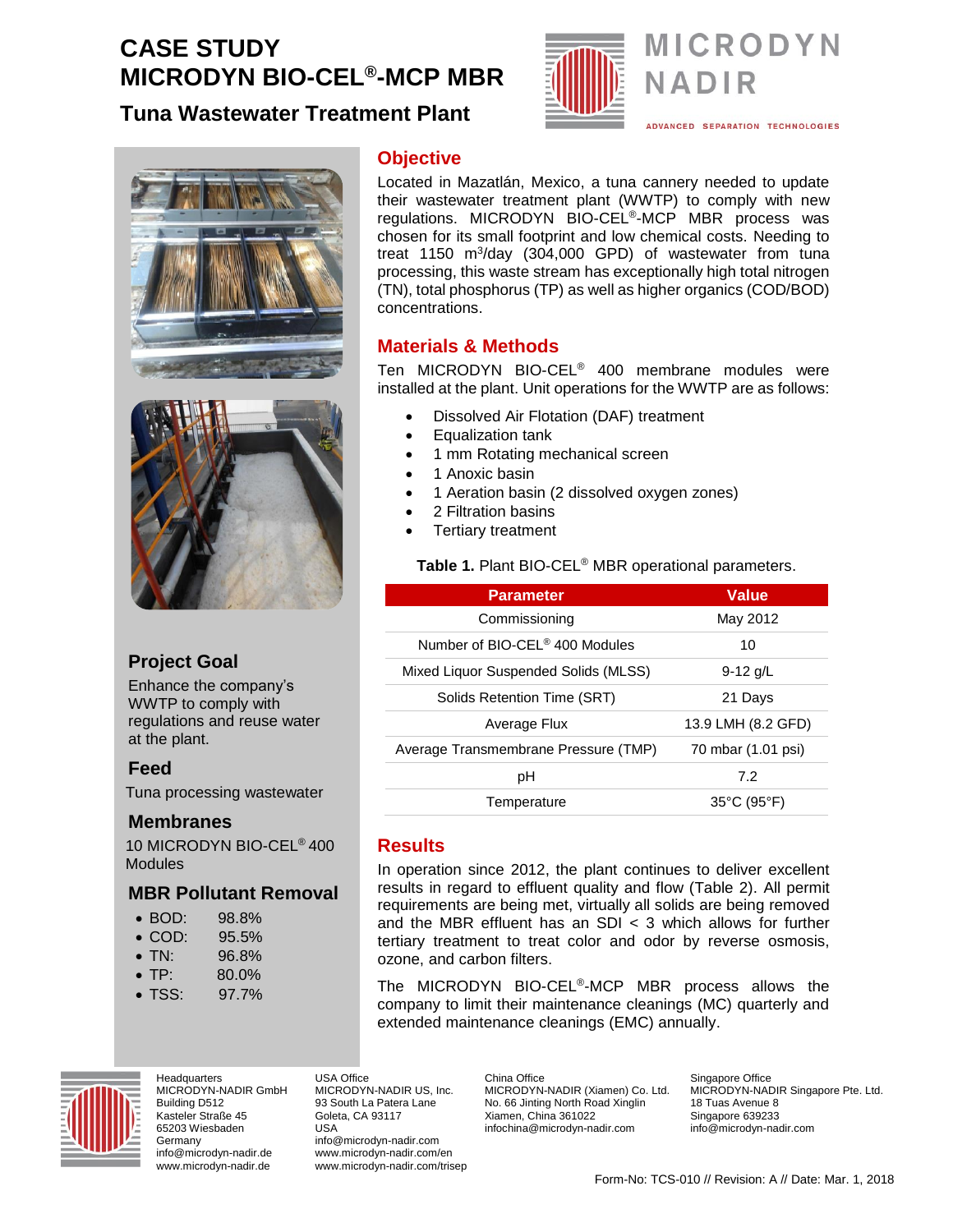# **CASE STUDY MICRODYN BIO-CEL®-MCP MBR**

# **Tuna Wastewater Treatment Plant**



# **MICRODYN** NADIR

ADVANCED SEPARATION TECHNOLOGIES





# **Project Goal**

Enhance the company's WWTP to comply with regulations and reuse water at the plant.

## **Feed**

Tuna processing wastewater

#### **Membranes**

10 MICRODYN BIO-CEL® 400 Modules

## **MBR Pollutant Removal**

- BOD: 98.8%
- COD: 95.5%
- TN: 96.8%
- $TP: 80.0\%$
- TSS: 97.7%



**Headquarters** MICRODYN-NADIR GmbH Building D512 Kasteler Straße 45 65203 Wiesbaden Germany info@microdyn-nadir.de www.microdyn-nadir.de

#### **Objective**

Located in Mazatlán, Mexico, a tuna cannery needed to update their wastewater treatment plant (WWTP) to comply with new regulations. MICRODYN BIO-CEL®-MCP MBR process was chosen for its small footprint and low chemical costs. Needing to treat 1150 m<sup>3</sup>/day (304,000 GPD) of wastewater from tuna processing, this waste stream has exceptionally high total nitrogen (TN), total phosphorus (TP) as well as higher organics (COD/BOD) concentrations.

## **Materials & Methods**

Ten MICRODYN BIO-CEL® 400 membrane modules were installed at the plant. Unit operations for the WWTP are as follows:

- Dissolved Air Flotation (DAF) treatment
- Equalization tank
- 1 mm Rotating mechanical screen
- 1 Anoxic basin
- 1 Aeration basin (2 dissolved oxygen zones)
- 2 Filtration basins
- Tertiary treatment

#### **Table 1.** Plant BIO-CEL® MBR operational parameters.

| <b>Parameter</b>                           | <b>Value</b>                     |  |  |
|--------------------------------------------|----------------------------------|--|--|
| Commissioning                              | May 2012                         |  |  |
| Number of BIO-CEL <sup>®</sup> 400 Modules | 10                               |  |  |
| Mixed Liquor Suspended Solids (MLSS)       | $9-12$ g/L                       |  |  |
| Solids Retention Time (SRT)                | 21 Days                          |  |  |
| Average Flux                               | 13.9 LMH (8.2 GFD)               |  |  |
| Average Transmembrane Pressure (TMP)       | 70 mbar (1.01 psi)               |  |  |
| рH                                         | 7.2                              |  |  |
| Temperature                                | $35^{\circ}$ C (95 $^{\circ}$ F) |  |  |

#### **Results**

USA Office

USA

Goleta, CA 93117

www.microdyn-nadir.com/en www.microdyn-nadir.com/trisep

In operation since 2012, the plant continues to deliver excellent results in regard to effluent quality and flow (Table 2). All permit requirements are being met, virtually all solids are being removed and the MBR effluent has an SDI < 3 which allows for further tertiary treatment to treat color and odor by reverse osmosis, ozone, and carbon filters.

The MICRODYN BIO-CEL®-MCP MBR process allows the company to limit their maintenance cleanings (MC) quarterly and extended maintenance cleanings (EMC) annually.

MICRODYN-NADIR US, Inc. 93 South La Patera Lane info@microdyn-nadir.com China Office MICRODYN-NADIR (Xiamen) Co. Ltd. No. 66 Jinting North Road Xinglin Xiamen, China 361022 infochina@microdyn-nadir.com

Singapore Office MICRODYN-NADIR Singapore Pte. Ltd. 18 Tuas Avenue 8 Singapore 639233 info@microdyn-nadir.com